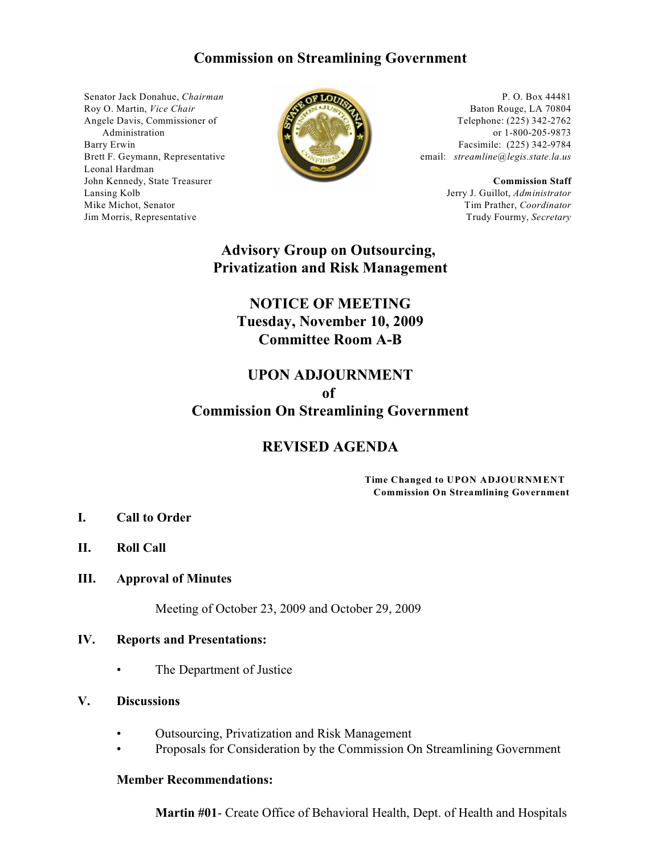### **Commission on Streamlining Government**

Senator Jack Donahue, *Chairman* Roy O. Martin, *Vice Chair* Angele Davis, Commissioner of Administration Barry Erwin Brett F. Geymann, Representative Leonal Hardman John Kennedy, State Treasurer Lansing Kolb Mike Michot, Senator Jim Morris, Representative



P. O. Box 44481 Baton Rouge, LA 70804 Telephone: (225) 342-2762 or 1-800-205-9873 Facsimile: (225) 342-9784 email: *streamline@legis.state.la.us*

> **Commission Staff** Jerry J. Guillot, *Administrator* Tim Prather, *Coordinator* Trudy Fourmy, *Secretary*

### **Advisory Group on Outsourcing, Privatization and Risk Management**

# **NOTICE OF MEETING Tuesday, November 10, 2009 Committee Room A-B**

### **UPON ADJOURNMENT of**

# **Commission On Streamlining Government**

### **REVISED AGENDA**

#### **Time Changed to UPON ADJOURNMENT Commission On Streamlining Government**

- **I. Call to Order**
- **II. Roll Call**

### **III. Approval of Minutes**

Meeting of October 23, 2009 and October 29, 2009

### **IV. Reports and Presentations:**

• The Department of Justice

### **V. Discussions**

- Outsourcing, Privatization and Risk Management
- Proposals for Consideration by the Commission On Streamlining Government

#### **Member Recommendations:**

**Martin #01**- Create Office of Behavioral Health, Dept. of Health and Hospitals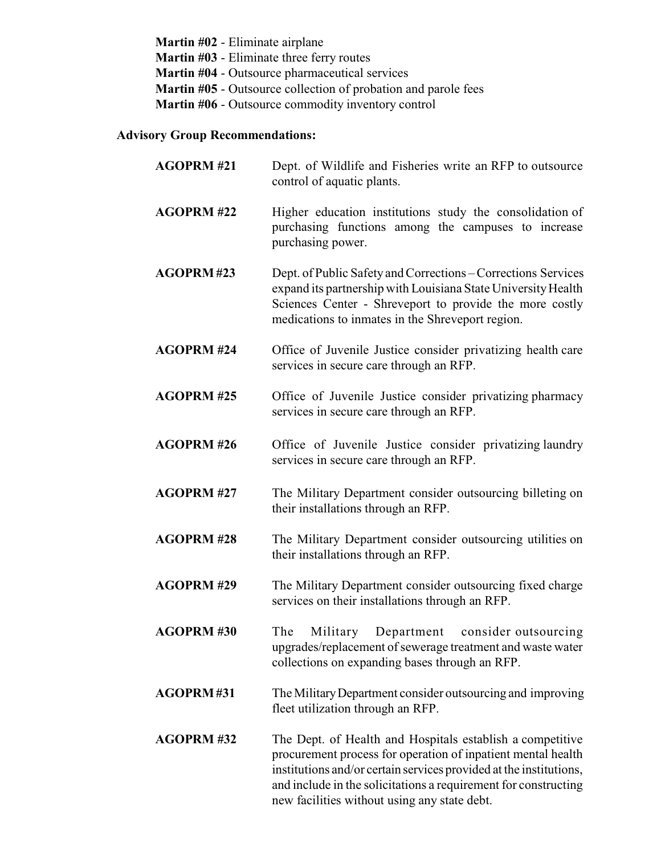**Martin #02** - Eliminate airplane **Martin #03** - Eliminate three ferry routes **Martin #04** - Outsource pharmaceutical services **Martin #05** - Outsource collection of probation and parole fees **Martin #06** - Outsource commodity inventory control

### **Advisory Group Recommendations:**

| <b>AGOPRM#21</b>  | Dept. of Wildlife and Fisheries write an RFP to outsource<br>control of aquatic plants.                                                                                                                                                                                                                            |
|-------------------|--------------------------------------------------------------------------------------------------------------------------------------------------------------------------------------------------------------------------------------------------------------------------------------------------------------------|
| <b>AGOPRM#22</b>  | Higher education institutions study the consolidation of<br>purchasing functions among the campuses to increase<br>purchasing power.                                                                                                                                                                               |
| AGOPRM#23         | Dept. of Public Safety and Corrections – Corrections Services<br>expand its partnership with Louisiana State University Health<br>Sciences Center - Shreveport to provide the more costly<br>medications to inmates in the Shreveport region.                                                                      |
| <b>AGOPRM#24</b>  | Office of Juvenile Justice consider privatizing health care<br>services in secure care through an RFP.                                                                                                                                                                                                             |
| <b>AGOPRM#25</b>  | Office of Juvenile Justice consider privatizing pharmacy<br>services in secure care through an RFP.                                                                                                                                                                                                                |
| <b>AGOPRM#26</b>  | Office of Juvenile Justice consider privatizing laundry<br>services in secure care through an RFP.                                                                                                                                                                                                                 |
| <b>AGOPRM#27</b>  | The Military Department consider outsourcing billeting on<br>their installations through an RFP.                                                                                                                                                                                                                   |
| <b>AGOPRM #28</b> | The Military Department consider outsourcing utilities on<br>their installations through an RFP.                                                                                                                                                                                                                   |
| <b>AGOPRM#29</b>  | The Military Department consider outsourcing fixed charge<br>services on their installations through an RFP.                                                                                                                                                                                                       |
| <b>AGOPRM#30</b>  | The<br>Military<br>Department<br>consider outsourcing<br>upgrades/replacement of sewerage treatment and waste water<br>collections on expanding bases through an RFP.                                                                                                                                              |
| <b>AGOPRM#31</b>  | The Military Department consider outsourcing and improving<br>fleet utilization through an RFP.                                                                                                                                                                                                                    |
| <b>AGOPRM#32</b>  | The Dept. of Health and Hospitals establish a competitive<br>procurement process for operation of inpatient mental health<br>institutions and/or certain services provided at the institutions,<br>and include in the solicitations a requirement for constructing<br>new facilities without using any state debt. |